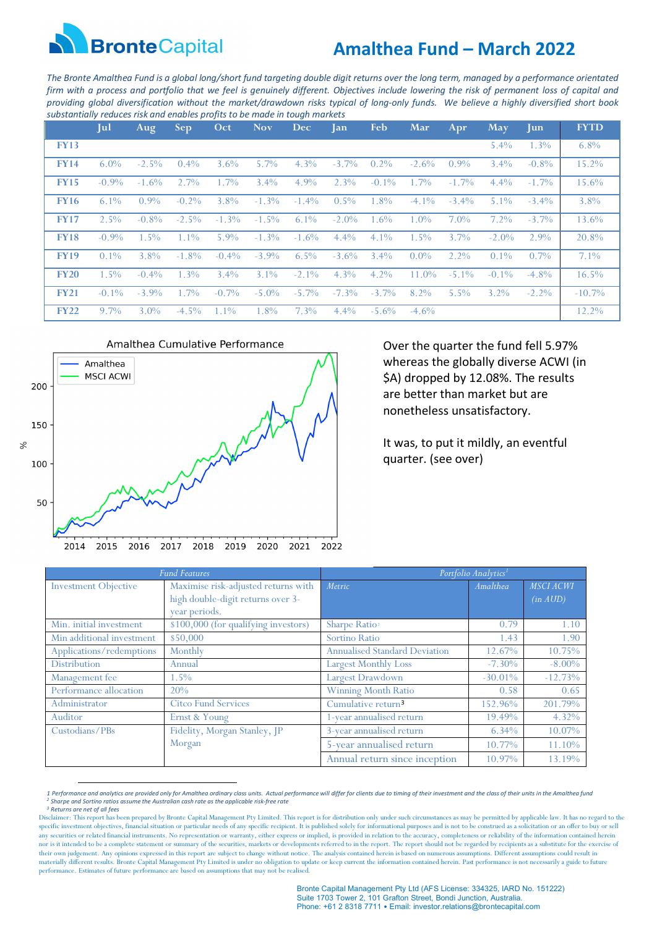

# **Amalthea Fund – March 2022**

*The Bronte Amalthea Fund is a global long/short fund targeting double digit returns over the long term, managed by a performance orientated firm with a process and portfolio that we feel is genuinely different. Objectives include lowering the risk of permanent loss of capital and providing global diversification without the market/drawdown risks typical of long-only funds. We believe a highly diversified short book substantially reduces risk and enables profits to be made in tough markets*

|             | Jul      | Aug      | <b>Sep</b> | Oct      | <b>Nov</b> | <b>Dec</b> | <b>Jan</b> | <b>Feb</b> | <b>Mar</b> | Apr      | <b>May</b> | <b>Jun</b> | <b>FYTD</b> |
|-------------|----------|----------|------------|----------|------------|------------|------------|------------|------------|----------|------------|------------|-------------|
| <b>FY13</b> |          |          |            |          |            |            |            |            |            |          | $5.4\%$    | 1.3%       | $6.8\%$     |
| <b>FY14</b> | $6.0\%$  | $-2.5\%$ | $0.4\%$    | $3.6\%$  | $5.7\%$    | $4.3\%$    | $-3.7\%$   | $0.2\%$    | $-2.6\%$   | $0.9\%$  | $3.4\%$    | $-0.8\%$   | 15.2%       |
| <b>FY15</b> | $-0.9\%$ | $-1.6\%$ | $2.7\%$    | $1.7\%$  | $3.4\%$    | $4.9\%$    | $2.3\%$    | $-0.1\%$   | $1.7\%$    | $-1.7\%$ | $4.4\%$    | $-1.7\%$   | 15.6%       |
| <b>FY16</b> | $6.1\%$  | $0.9\%$  | $-0.2\%$   | $3.8\%$  | $-1.3\%$   | $-1.4\%$   | $0.5\%$    | 1.8%       | $-4.1\%$   | $-3.4\%$ | $5.1\%$    | $-3.4\%$   | $3.8\%$     |
| <b>FY17</b> | $2.5\%$  | $-0.8\%$ | $-2.5\%$   | $-1.3\%$ | $-1.5\%$   | $6.1\%$    | $-2.0\%$   | 1.6%       | $1.0\%$    | $7.0\%$  | $7.2\%$    | $-3.7\%$   | 13.6%       |
| <b>FY18</b> | $-0.9\%$ | $1.5\%$  | $1.1\%$    | $5.9\%$  | $-1.3\%$   | $-1.6\%$   | $4.4\%$    | $4.1\%$    | $1.5\%$    | $3.7\%$  | $-2.0\%$   | 2.9%       | 20.8%       |
| <b>FY19</b> | $0.1\%$  | $3.8\%$  | $-1.8\%$   | $-0.4\%$ | $-3.9\%$   | $6.5\%$    | $-3.6\%$   | $3.4\%$    | $0.0\%$    | $2.2\%$  | $0.1\%$    | $0.7\%$    | $7.1\%$     |
| <b>FY20</b> | $1.5\%$  | $-0.4\%$ | $1.3\%$    | $3.4\%$  | $3.1\%$    | $-2.1\%$   | $4.3\%$    | $4.2\%$    | $11.0\%$   | $-5.1\%$ | $-0.1\%$   | $-4.8\%$   | 16.5%       |
| <b>FY21</b> | $-0.1\%$ | $-3.9\%$ | $1.7\%$    | $-0.7\%$ | $-5.0\%$   | $-5.7\%$   | $-7.3\%$   | $-3.7\%$   | 8.2%       | $5.5\%$  | $3.2\%$    | $-2.2\%$   | $-10.7\%$   |
| <b>FY22</b> | $9.7\%$  | $3.0\%$  | $-4.5\%$   | $1.1\%$  | 1.8%       | $7.3\%$    | $4.4\%$    | $-5.6\%$   | $-4.6\%$   |          |            |            | 12.2%       |



Over the quarter the fund fell 5.97% whereas the globally diverse ACWI (in \$A) dropped by 12.08%. The results are better than market but are nonetheless unsatisfactory.

It was, to put it mildly, an eventful quarter. (see over)

|                             | <b>Fund Features</b>                 | Portfolio Analytics <sup>1</sup>     |            |                  |  |  |
|-----------------------------|--------------------------------------|--------------------------------------|------------|------------------|--|--|
| <b>Investment Objective</b> | Maximise risk-adjusted returns with  | Metric                               | Amalthea   | <b>MSCI ACWI</b> |  |  |
|                             | high double-digit returns over 3-    |                                      |            | (in AUD)         |  |  |
|                             | year periods.                        |                                      |            |                  |  |  |
| Min. initial investment     | \$100,000 (for qualifying investors) | Sharpe Ratio <sub>2</sub>            | 0.79       | 1.10             |  |  |
| Min additional investment   | \$50,000                             | Sortino Ratio                        | 1.43       | 1.90             |  |  |
| Applications/redemptions    | Monthly                              | <b>Annualised Standard Deviation</b> | 12.67%     | 10.75%           |  |  |
| <b>Distribution</b>         | Annual                               | <b>Largest Monthly Loss</b>          | $-7.30\%$  | $-8.00\%$        |  |  |
| Management fee              | 1.5%                                 | Largest Drawdown                     | $-30.01\%$ | $-12.73%$        |  |  |
| Performance allocation      | 20%                                  | <b>Winning Month Ratio</b>           | 0.58       | 0.65             |  |  |
| Administrator               | <b>Citco Fund Services</b>           | Cumulative return <sup>3</sup>       | 152.96%    | 201.79%          |  |  |
| Auditor                     | Ernst & Young                        | 1-year annualised return             | 19.49%     | 4.32%            |  |  |
| Custodians/PBs              | Fidelity, Morgan Stanley, JP         | 3-year annualised return             | 6.34%      | 10.07%           |  |  |
|                             | Morgan                               | 5-year annualised return             | 10.77%     | 11.10%           |  |  |
|                             |                                      | Annual return since inception        | 10.97%     | 13.19%           |  |  |

<span id="page-0-0"></span>*<sup>1</sup> Performance and analytics are provided only for Amalthea ordinary class units. Actual performance will differ for clients due to timing of their investment and the class of their units in the Amalthea fund <sup>2</sup> Sharpe and Sortino ratios assume the Australian cash rate as the applicable risk-free rate 3 Returns are net of all fees*

<span id="page-0-2"></span><span id="page-0-1"></span>Disclaimer: This report has been prepared by Bronte Capital Management Pty Limited. This report is for distribution only under such circumstances as may be permitted by applicable law. It has no regard to the specific investment objectives, financial situation or particular needs of any specific recipient. It is published solely for informational purposes and is not to be construed as a solicitation or an offer to buy or sell any securities or related financial instruments. No representation or warranty, either express or implied, is provided in relation to the accuracy, completeness or reliability of the information contained herein<br>nor is it their own judgement. Any opinions expressed in this report are subject to change without notice. The analysis contained herein is based on numerous assumptions. Different assumptions could result in materially different results. Bronte Capital Management Pty Limited is under no obligation to update or keep current the information contained herein. Past performance is not necessarily a guide to future performance. Estimates of future performance are based on assumptions that may not be realised.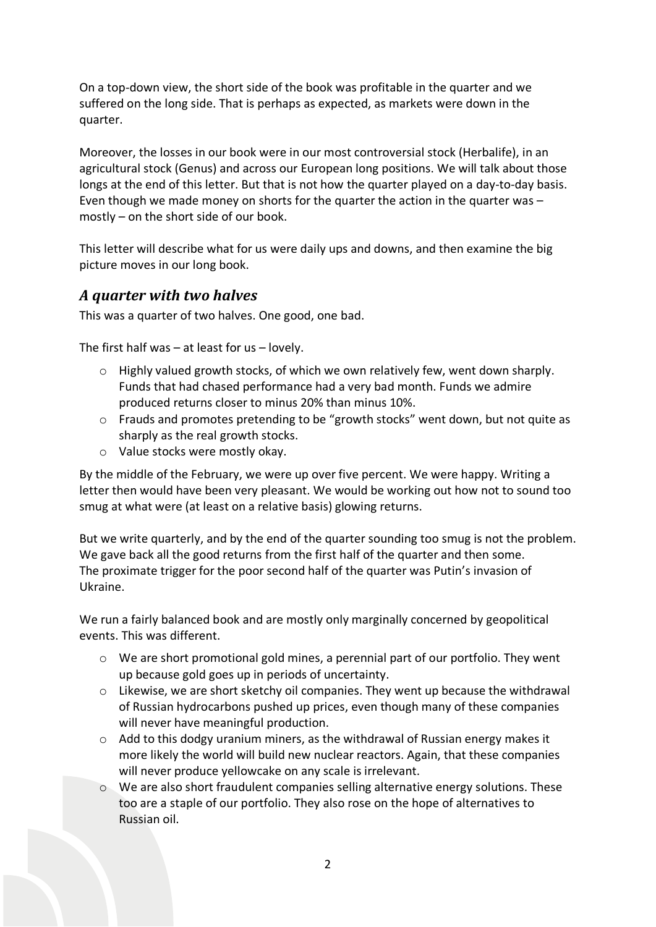On a top-down view, the short side of the book was profitable in the quarter and we suffered on the long side. That is perhaps as expected, as markets were down in the quarter.

Moreover, the losses in our book were in our most controversial stock (Herbalife), in an agricultural stock (Genus) and across our European long positions. We will talk about those longs at the end of this letter. But that is not how the quarter played on a day-to-day basis. Even though we made money on shorts for the quarter the action in the quarter was – mostly – on the short side of our book.

This letter will describe what for us were daily ups and downs, and then examine the big picture moves in our long book.

#### *A quarter with two halves*

This was a quarter of two halves. One good, one bad.

The first half was  $-$  at least for us  $-$  lovely.

- o Highly valued growth stocks, of which we own relatively few, went down sharply. Funds that had chased performance had a very bad month. Funds we admire produced returns closer to minus 20% than minus 10%.
- o Frauds and promotes pretending to be "growth stocks" went down, but not quite as sharply as the real growth stocks.
- o Value stocks were mostly okay.

By the middle of the February, we were up over five percent. We were happy. Writing a letter then would have been very pleasant. We would be working out how not to sound too smug at what were (at least on a relative basis) glowing returns.

But we write quarterly, and by the end of the quarter sounding too smug is not the problem. We gave back all the good returns from the first half of the quarter and then some. The proximate trigger for the poor second half of the quarter was Putin's invasion of Ukraine.

We run a fairly balanced book and are mostly only marginally concerned by geopolitical events. This was different.

- $\circ$  We are short promotional gold mines, a perennial part of our portfolio. They went up because gold goes up in periods of uncertainty.
- $\circ$  Likewise, we are short sketchy oil companies. They went up because the withdrawal of Russian hydrocarbons pushed up prices, even though many of these companies will never have meaningful production.
- o Add to this dodgy uranium miners, as the withdrawal of Russian energy makes it more likely the world will build new nuclear reactors. Again, that these companies will never produce yellowcake on any scale is irrelevant.
- o We are also short fraudulent companies selling alternative energy solutions. These too are a staple of our portfolio. They also rose on the hope of alternatives to Russian oil.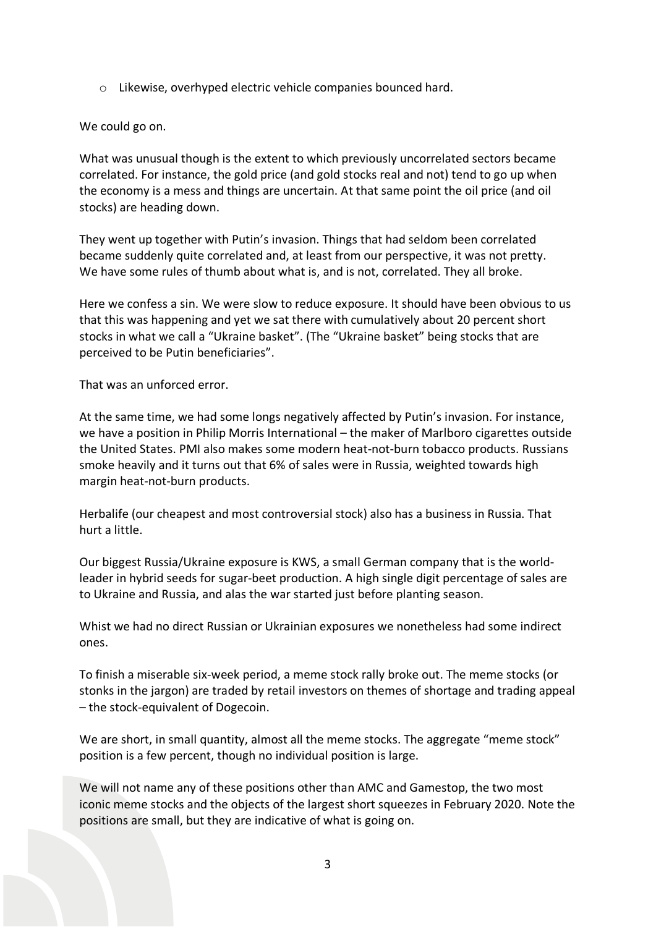o Likewise, overhyped electric vehicle companies bounced hard.

#### We could go on.

What was unusual though is the extent to which previously uncorrelated sectors became correlated. For instance, the gold price (and gold stocks real and not) tend to go up when the economy is a mess and things are uncertain. At that same point the oil price (and oil stocks) are heading down.

They went up together with Putin's invasion. Things that had seldom been correlated became suddenly quite correlated and, at least from our perspective, it was not pretty. We have some rules of thumb about what is, and is not, correlated. They all broke.

Here we confess a sin. We were slow to reduce exposure. It should have been obvious to us that this was happening and yet we sat there with cumulatively about 20 percent short stocks in what we call a "Ukraine basket". (The "Ukraine basket" being stocks that are perceived to be Putin beneficiaries".

That was an unforced error.

At the same time, we had some longs negatively affected by Putin's invasion. For instance, we have a position in Philip Morris International – the maker of Marlboro cigarettes outside the United States. PMI also makes some modern heat-not-burn tobacco products. Russians smoke heavily and it turns out that 6% of sales were in Russia, weighted towards high margin heat-not-burn products.

Herbalife (our cheapest and most controversial stock) also has a business in Russia. That hurt a little.

Our biggest Russia/Ukraine exposure is KWS, a small German company that is the worldleader in hybrid seeds for sugar-beet production. A high single digit percentage of sales are to Ukraine and Russia, and alas the war started just before planting season.

Whist we had no direct Russian or Ukrainian exposures we nonetheless had some indirect ones.

To finish a miserable six-week period, a meme stock rally broke out. The meme stocks (or stonks in the jargon) are traded by retail investors on themes of shortage and trading appeal – the stock-equivalent of Dogecoin.

We are short, in small quantity, almost all the meme stocks. The aggregate "meme stock" position is a few percent, though no individual position is large.

We will not name any of these positions other than AMC and Gamestop, the two most iconic meme stocks and the objects of the largest short squeezes in February 2020. Note the positions are small, but they are indicative of what is going on.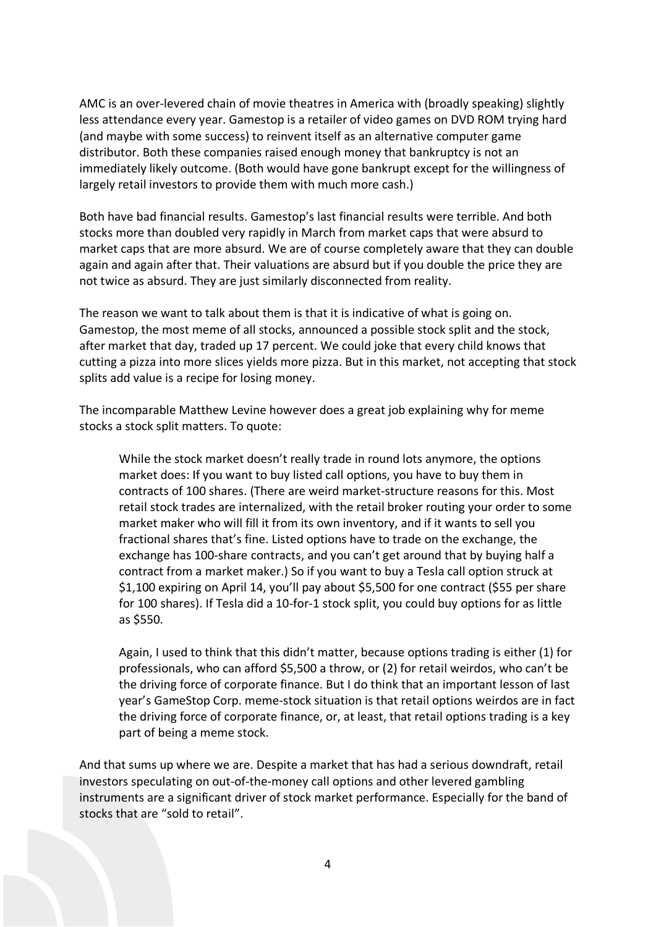AMC is an over-levered chain of movie theatres in America with (broadly speaking) slightly less attendance every year. Gamestop is a retailer of video games on DVD ROM trying hard (and maybe with some success) to reinvent itself as an alternative computer game distributor. Both these companies raised enough money that bankruptcy is not an immediately likely outcome. (Both would have gone bankrupt except for the willingness of largely retail investors to provide them with much more cash.)

Both have bad financial results. Gamestop's last financial results were terrible. And both stocks more than doubled very rapidly in March from market caps that were absurd to market caps that are more absurd. We are of course completely aware that they can double again and again after that. Their valuations are absurd but if you double the price they are not twice as absurd. They are just similarly disconnected from reality.

The reason we want to talk about them is that it is indicative of what is going on. Gamestop, the most meme of all stocks, announced a possible stock split and the stock, after market that day, traded up 17 percent. We could joke that every child knows that cutting a pizza into more slices yields more pizza. But in this market, not accepting that stock splits add value is a recipe for losing money.

The incomparable Matthew Levine however does a great job explaining why for meme stocks a stock split matters. To quote:

While the stock market doesn't really trade in round lots anymore, the options market does: If you want to buy listed call options, you have to buy them in contracts of 100 shares. (There are weird market-structure reasons for this. Most retail stock trades are internalized, with the retail broker routing your order to some market maker who will fill it from its own inventory, and if it wants to sell you fractional shares that's fine. Listed options have to trade on the exchange, the exchange has 100-share contracts, and you can't get around that by buying half a contract from a market maker.) So if you want to buy a Tesla call option struck at \$1,100 expiring on April 14, you'll pay about \$5,500 for one contract (\$55 per share for 100 shares). If Tesla did a 10-for-1 stock split, you could buy options for as little as \$550.

Again, I used to think that this didn't matter, because options trading is either (1) for professionals, who can afford \$5,500 a throw, or (2) for retail weirdos, who can't be the driving force of corporate finance. But I do think that an important lesson of last year's GameStop Corp. meme-stock situation is that retail options weirdos are in fact the driving force of corporate finance, or, at least, that retail options trading is a key part of being a meme stock.

And that sums up where we are. Despite a market that has had a serious downdraft, retail investors speculating on out-of-the-money call options and other levered gambling instruments are a significant driver of stock market performance. Especially for the band of stocks that are "sold to retail".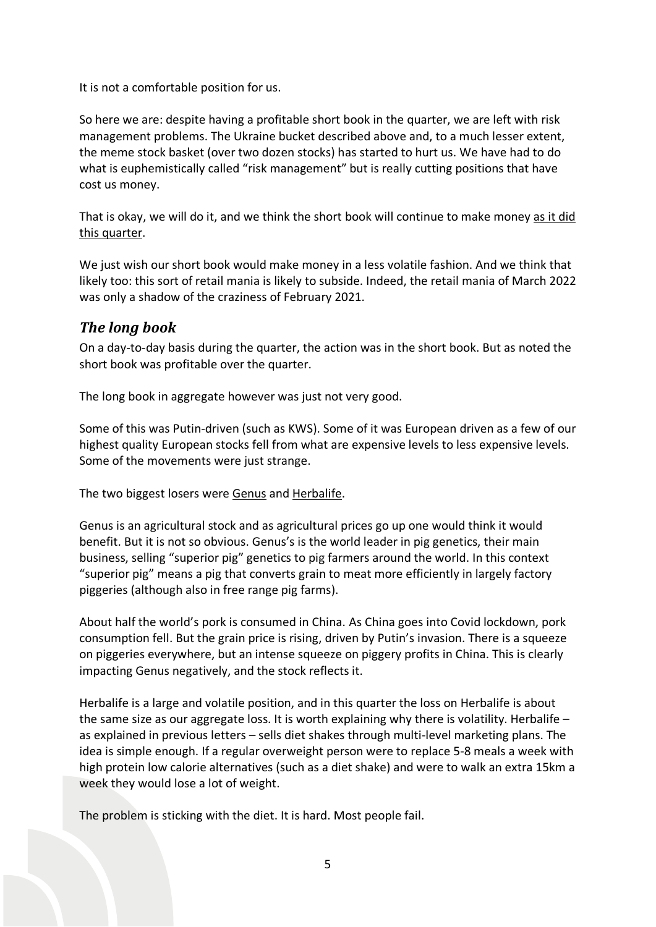It is not a comfortable position for us.

So here we are: despite having a profitable short book in the quarter, we are left with risk management problems. The Ukraine bucket described above and, to a much lesser extent, the meme stock basket (over two dozen stocks) has started to hurt us. We have had to do what is euphemistically called "risk management" but is really cutting positions that have cost us money.

That is okay, we will do it, and we think the short book will continue to make money as it did this quarter.

We just wish our short book would make money in a less volatile fashion. And we think that likely too: this sort of retail mania is likely to subside. Indeed, the retail mania of March 2022 was only a shadow of the craziness of February 2021.

### *The long book*

On a day-to-day basis during the quarter, the action was in the short book. But as noted the short book was profitable over the quarter.

The long book in aggregate however was just not very good.

Some of this was Putin-driven (such as KWS). Some of it was European driven as a few of our highest quality European stocks fell from what are expensive levels to less expensive levels. Some of the movements were just strange.

The two biggest losers were Genus and Herbalife.

Genus is an agricultural stock and as agricultural prices go up one would think it would benefit. But it is not so obvious. Genus's is the world leader in pig genetics, their main business, selling "superior pig" genetics to pig farmers around the world. In this context "superior pig" means a pig that converts grain to meat more efficiently in largely factory piggeries (although also in free range pig farms).

About half the world's pork is consumed in China. As China goes into Covid lockdown, pork consumption fell. But the grain price is rising, driven by Putin's invasion. There is a squeeze on piggeries everywhere, but an intense squeeze on piggery profits in China. This is clearly impacting Genus negatively, and the stock reflects it.

Herbalife is a large and volatile position, and in this quarter the loss on Herbalife is about the same size as our aggregate loss. It is worth explaining why there is volatility. Herbalife  $$ as explained in previous letters – sells diet shakes through multi-level marketing plans. The idea is simple enough. If a regular overweight person were to replace 5-8 meals a week with high protein low calorie alternatives (such as a diet shake) and were to walk an extra 15km a week they would lose a lot of weight.

The problem is sticking with the diet. It is hard. Most people fail.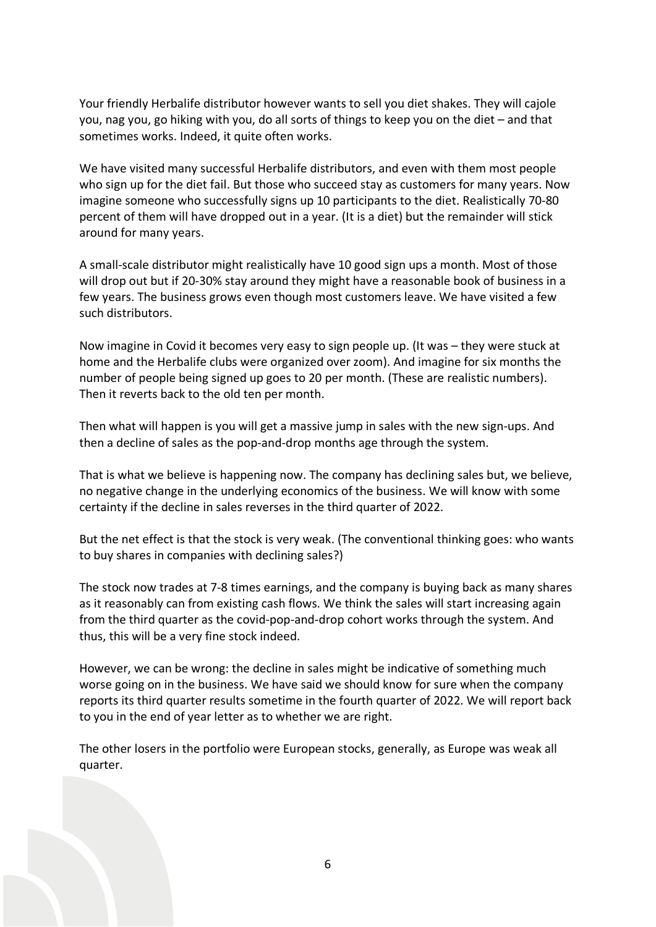Your friendly Herbalife distributor however wants to sell you diet shakes. They will cajole you, nag you, go hiking with you, do all sorts of things to keep you on the diet – and that sometimes works. Indeed, it quite often works.

We have visited many successful Herbalife distributors, and even with them most people who sign up for the diet fail. But those who succeed stay as customers for many years. Now imagine someone who successfully signs up 10 participants to the diet. Realistically 70-80 percent of them will have dropped out in a year. (It is a diet) but the remainder will stick around for many years.

A small-scale distributor might realistically have 10 good sign ups a month. Most of those will drop out but if 20-30% stay around they might have a reasonable book of business in a few years. The business grows even though most customers leave. We have visited a few such distributors.

Now imagine in Covid it becomes very easy to sign people up. (It was – they were stuck at home and the Herbalife clubs were organized over zoom). And imagine for six months the number of people being signed up goes to 20 per month. (These are realistic numbers). Then it reverts back to the old ten per month.

Then what will happen is you will get a massive jump in sales with the new sign-ups. And then a decline of sales as the pop-and-drop months age through the system.

That is what we believe is happening now. The company has declining sales but, we believe, no negative change in the underlying economics of the business. We will know with some certainty if the decline in sales reverses in the third quarter of 2022.

But the net effect is that the stock is very weak. (The conventional thinking goes: who wants to buy shares in companies with declining sales?)

The stock now trades at 7-8 times earnings, and the company is buying back as many shares as it reasonably can from existing cash flows. We think the sales will start increasing again from the third quarter as the covid-pop-and-drop cohort works through the system. And thus, this will be a very fine stock indeed.

However, we can be wrong: the decline in sales might be indicative of something much worse going on in the business. We have said we should know for sure when the company reports its third quarter results sometime in the fourth quarter of 2022. We will report back to you in the end of year letter as to whether we are right.

The other losers in the portfolio were European stocks, generally, as Europe was weak all quarter.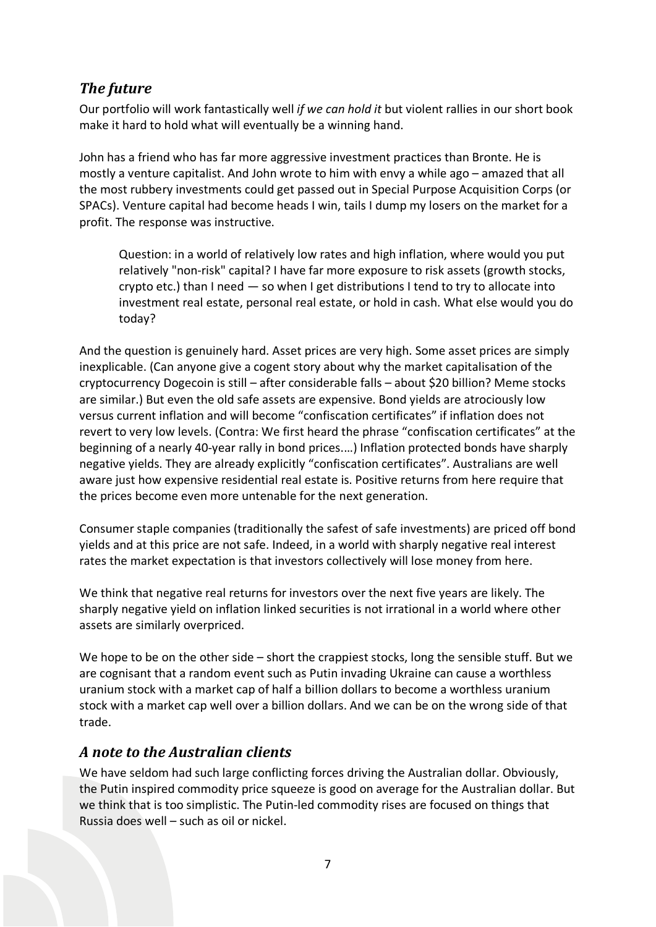## *The future*

Our portfolio will work fantastically well *if we can hold it* but violent rallies in our short book make it hard to hold what will eventually be a winning hand.

John has a friend who has far more aggressive investment practices than Bronte. He is mostly a venture capitalist. And John wrote to him with envy a while ago – amazed that all the most rubbery investments could get passed out in Special Purpose Acquisition Corps (or SPACs). Venture capital had become heads I win, tails I dump my losers on the market for a profit. The response was instructive.

Question: in a world of relatively low rates and high inflation, where would you put relatively "non-risk" capital? I have far more exposure to risk assets (growth stocks, crypto etc.) than I need — so when I get distributions I tend to try to allocate into investment real estate, personal real estate, or hold in cash. What else would you do today?

And the question is genuinely hard. Asset prices are very high. Some asset prices are simply inexplicable. (Can anyone give a cogent story about why the market capitalisation of the cryptocurrency Dogecoin is still – after considerable falls – about \$20 billion? Meme stocks are similar.) But even the old safe assets are expensive. Bond yields are atrociously low versus current inflation and will become "confiscation certificates" if inflation does not revert to very low levels. (Contra: We first heard the phrase "confiscation certificates" at the beginning of a nearly 40-year rally in bond prices.…) Inflation protected bonds have sharply negative yields. They are already explicitly "confiscation certificates". Australians are well aware just how expensive residential real estate is. Positive returns from here require that the prices become even more untenable for the next generation.

Consumer staple companies (traditionally the safest of safe investments) are priced off bond yields and at this price are not safe. Indeed, in a world with sharply negative real interest rates the market expectation is that investors collectively will lose money from here.

We think that negative real returns for investors over the next five years are likely. The sharply negative yield on inflation linked securities is not irrational in a world where other assets are similarly overpriced.

We hope to be on the other side – short the crappiest stocks, long the sensible stuff. But we are cognisant that a random event such as Putin invading Ukraine can cause a worthless uranium stock with a market cap of half a billion dollars to become a worthless uranium stock with a market cap well over a billion dollars. And we can be on the wrong side of that trade.

### *A note to the Australian clients*

We have seldom had such large conflicting forces driving the Australian dollar. Obviously, the Putin inspired commodity price squeeze is good on average for the Australian dollar. But we think that is too simplistic. The Putin-led commodity rises are focused on things that Russia does well – such as oil or nickel.